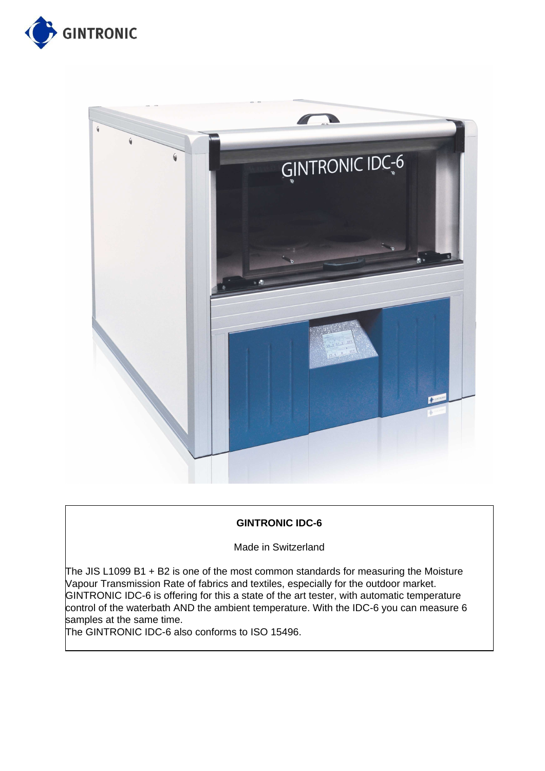



## **GINTRONIC IDC-6**

Made in Switzerland

The JIS L1099 B1  $+$  B2 is one of the most common standards for measuring the Moisture Vapour Transmission Rate of fabrics and textiles, especially for the outdoor market. GINTRONIC IDC-6 is offering for this a state of the art tester, with automatic temperature control of the waterbath AND the ambient temperature. With the IDC-6 you can measure 6 samples at the same time.

The GINTRONIC IDC-6 also conforms to ISO 15496.